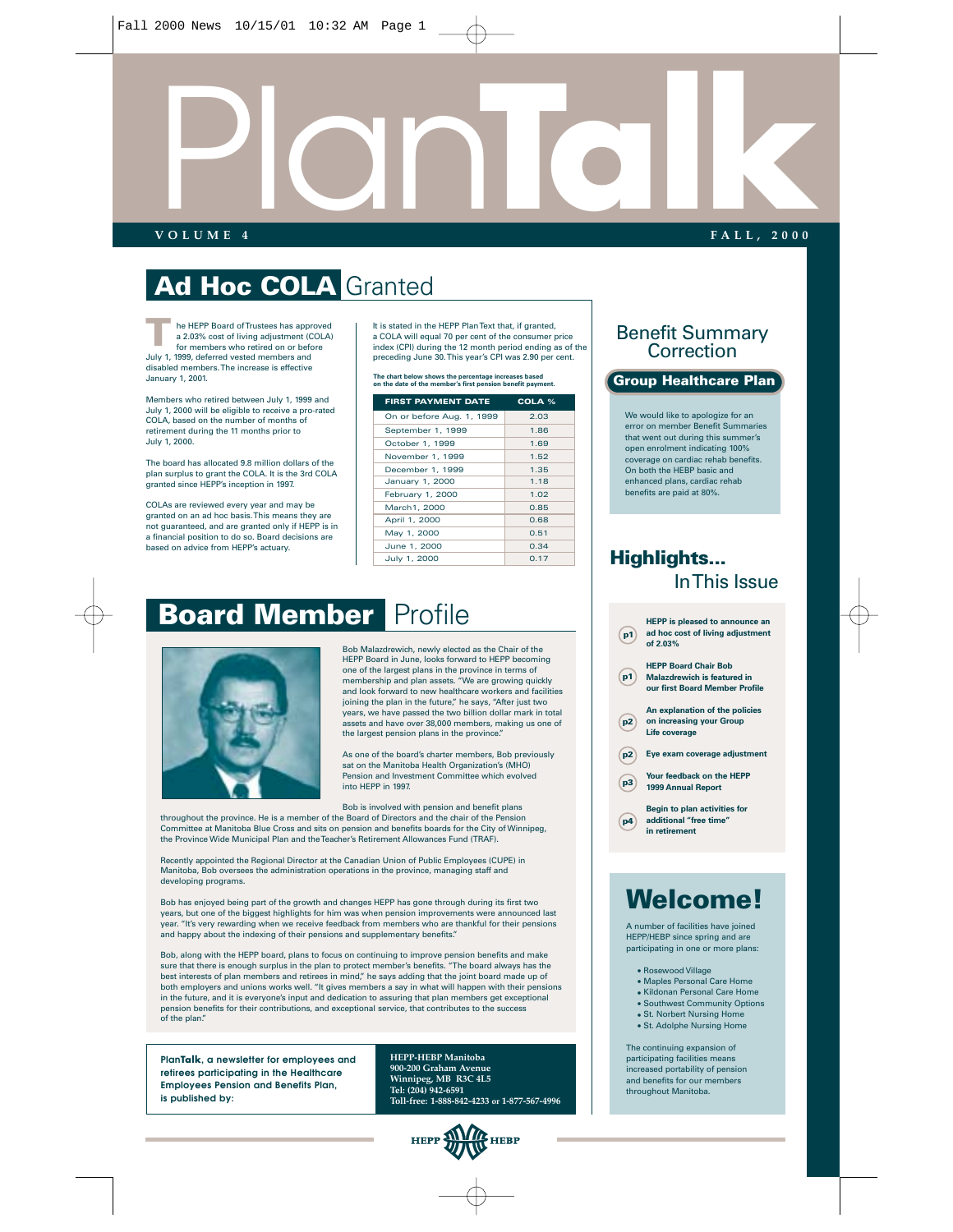

### **Ad Hoc COLA** Granted

he HEPP Board of Trustees has approved a 2.03% cost of living adjustment (COLA) for members who retired on or before July 1, 1999, deferred vested members and disabled members. The increase is effective January 1, 2001. **T**

Members who retired between July 1, 1999 and July 1, 2000 will be eligible to receive a pro-rated COLA, based on the number of months of retirement during the 11 months prior to July 1, 2000.

The board has allocated 9.8 million dollars of the plan surplus to grant the COLA. It is the 3rd COLA granted since HEPP's inception in 1997.

COLAs are reviewed every year and may be granted on an ad hoc basis. This means they are not guaranteed, and are granted only if HEPP is in a financial position to do so. Board decisions are based on advice from HEPP's actuary.

It is stated in the HEPP Plan Text that, if granted, a COLA will equal 70 per cent of the consumer price index (CPI) during the 12 month period ending as of the preceding June 30. This year's CPI was 2.90 per cent.

| <b>FIRST PAYMENT DATE</b> | COLA % |
|---------------------------|--------|
| On or before Aug. 1, 1999 | 2.03   |
| September 1, 1999         | 1.86   |
| October 1, 1999           | 1.69   |
| November 1, 1999          | 1.52   |
| December 1, 1999          | 1.35   |
| January 1, 2000           | 1.18   |
| February 1, 2000          | 1.02   |
| March1, 2000              | 0.85   |
| April 1, 2000             | 0.68   |
| May 1, 2000               | 0.51   |
| June 1, 2000              | 0.34   |
| July 1, 2000              | 0.17   |

### Benefit Summary Correction

#### **The chart below shows the percentage increases based on the date of the member's first pension benefit payment. Group Healthcare Plan**

We would like to apologize for an error on member Benefit Summaries that went out during this summer's open enrolment indicating 100% coverage on cardiac rehab benefits. On both the HEBP basic and enhanced plans, cardiac rehab benefits are paid at 80%.

# **Board Member** Profile



Bob Malazdrewich, newly elected as the Chair of the HEPP Board in June, looks forward to HEPP becoming one of the largest plans in the province in terms of membership and plan assets. "We are growing quickly and look forward to new healthcare workers and facilities joining the plan in the future," he says, "After just two years, we have passed the two billion dollar mark in total assets and have over 38,000 members, making us one of the largest pension plans in the province."

As one of the board's charter members, Bob previously sat on the Manitoba Health Organization's (MHO) Pension and Investment Committee which evolved into HEPP in 1997.

Bob is involved with pension and benefit plans

throughout the province. He is a member of the Board of Directors and the chair of the Pension Committee at Manitoba Blue Cross and sits on pension and benefits boards for the City of Winnipeg, the Province Wide Municipal Plan and the Teacher's Retirement Allowances Fund (TRAF).

Recently appointed the Regional Director at the Canadian Union of Public Employees (CUPE) in Manitoba, Bob oversees the administration operations in the province, managing staff and developing programs.

Bob has enjoyed being part of the growth and changes HEPP has gone through during its first two years, but one of the biggest highlights for him was when pension improvements were announced last year. "It's very rewarding when we receive feedback from members who are thankful for their pensions and happy about the indexing of their pensions and supplementary benefits."

Bob, along with the HEPP board, plans to focus on continuing to improve pension benefits and make sure that there is enough surplus in the plan to protect member's benefits. "The board always has the best interests of plan members and retirees in mind," he says adding that the joint board made up of both employers and unions works well. "It gives members a say in what will happen with their pensions in the future, and it is everyone's input and dedication to assuring that plan members get exceptional pension benefits for their contributions, and exceptional service, that contributes to the success of the plan."

**PlanTalk, a newsletter for employees and retirees participating in the Healthcare Employees Pension and Benefits Plan, is published by:**

**HEPP-HEBP Manitoba 900-200 Graham Avenue Winnipeg, MB R3C 4L5 Tel: (204) 942-6591 Toll-free: 1-888-842-4233 or 1-877-567-4996**



### **Highlights...** In This Issue



### **Welcome!**

A number of facilities have joined HEPP/HEBP since spring and are participating in one or more plans:

- Rosewood Village
- Maples Personal Care Home • Kildonan Personal Care Home
- Southwest Community Options
- St. Norbert Nursing Home
- St. Adolphe Nursing Home

The continuing expansion of participating facilities means increased portability of pension and benefits for our members throughout Manitoba.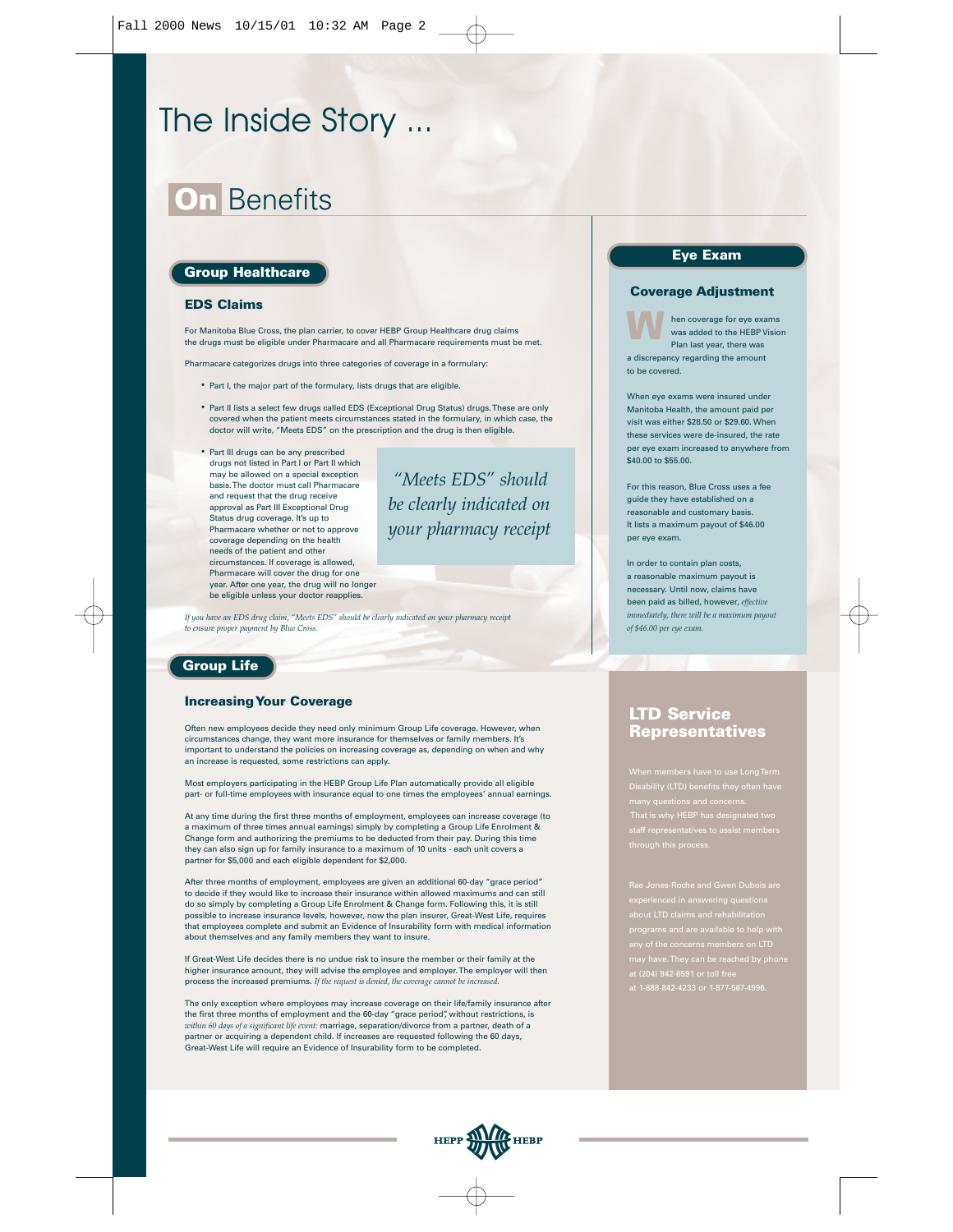### The Inside Story ...

### **On** Benefits

#### **Group Healthcare**

#### **EDS Claims**

For Manitoba Blue Cross, the plan carrier, to cover HEBP Group Healthcare drug claims the drugs must be eligible under Pharmacare and all Pharmacare requirements must be met.

Pharmacare categorizes drugs into three categories of coverage in a formulary:

- Part I, the major part of the formulary, lists drugs that are eligible.
- Part II lists a select few drugs called EDS (Exceptional Drug Status) drugs. These are only covered when the patient meets circumstances stated in the formulary, in which case, the doctor will write, "Meets EDS" on the prescription and the drug is then eligible.
- Part III drugs can be any prescribed drugs not listed in Part I or Part II which may be allowed on a special exception basis. The doctor must call Pharmacare and request that the drug receive approval as Part III Exceptional Drug Status drug coverage. It's up to Pharmacare whether or not to approve coverage depending on the health needs of the patient and other circumstances. If coverage is allowed, Pharmacare will cover the drug for one year. After one year, the drug will no longer be eligible unless your doctor reapplies.

*"Meets EDS" should be clearly indicated on your pharmacy receipt* 

*If you have an EDS drug claim, "Meets EDS" should be clearly indicated on your pharmacy receipt to ensure proper payment by Blue Cross.*

#### **Group Life**

#### **Increasing Your Coverage**

Often new employees decide they need only minimum Group Life coverage. However, when circumstances change, they want more insurance for themselves or family members. It's important to understand the policies on increasing coverage as, depending on when and why an increase is requested, some restrictions can apply.

Most employers participating in the HEBP Group Life Plan automatically provide all eligible part- or full-time employees with insurance equal to one times the employees' annual earnings.

At any time during the first three months of employment, employees can increase coverage (to a maximum of three times annual earnings) simply by completing a Group Life Enrolment & Change form and authorizing the premiums to be deducted from their pay. During this time they can also sign up for family insurance to a maximum of 10 units - each unit covers a partner for \$5,000 and each eligible dependent for \$2,000.

After three months of employment, employees are given an additional 60-day "grace period" to decide if they would like to increase their insurance within allowed maximums and can still do so simply by completing a Group Life Enrolment & Change form. Following this, it is still possible to increase insurance levels, however, now the plan insurer, Great-West Life, requires that employees complete and submit an Evidence of Insurability form with medical information about themselves and any family members they want to insure.

If Great-West Life decides there is no undue risk to insure the member or their family at the higher insurance amount, they will advise the employee and employer. The employer will then process the increased premiums. *If the request is denied, the coverage cannot be increased.*

The only exception where employees may increase coverage on their life/family insurance after the first three months of employment and the 60-day "grace period", without restrictions, is *within 60 days of a significant life event:* marriage, separation/divorce from a partner, death of a partner or acquiring a dependent child. If increases are requested following the 60 days, Great-West Life will require an Evidence of Insurability form to be completed.

### **Eye Exam**

#### **Coverage Adjustment**

hen coverage for eye exams was added to the HEBP Vision Plan last year, there was a discrepancy regarding the amount to be covered. **W**

When eye exams were insured under Manitoba Health, the amount paid per visit was either \$28.50 or \$29.60. When these services were de-insured, the rate per eye exam increased to anywhere from \$40.00 to \$55.00.

For this reason, Blue Cross uses a fee guide they have established on a reasonable and customary basis. It lists a maximum payout of \$46.00 per eye exam.

In order to contain plan costs, a reasonable maximum payout is necessary. Until now, claims have been paid as billed, however, *effective immediately, there will be a maximum payout of \$46.00 per eye exam.*

#### **LTD Service Representatives**

many questions and concerns. That is why HEBP has designated two

at (204) 942-6591 or toll free at 1-888-842-4233 or 1-877-567-4996.

.<br>HEBP **HEPP**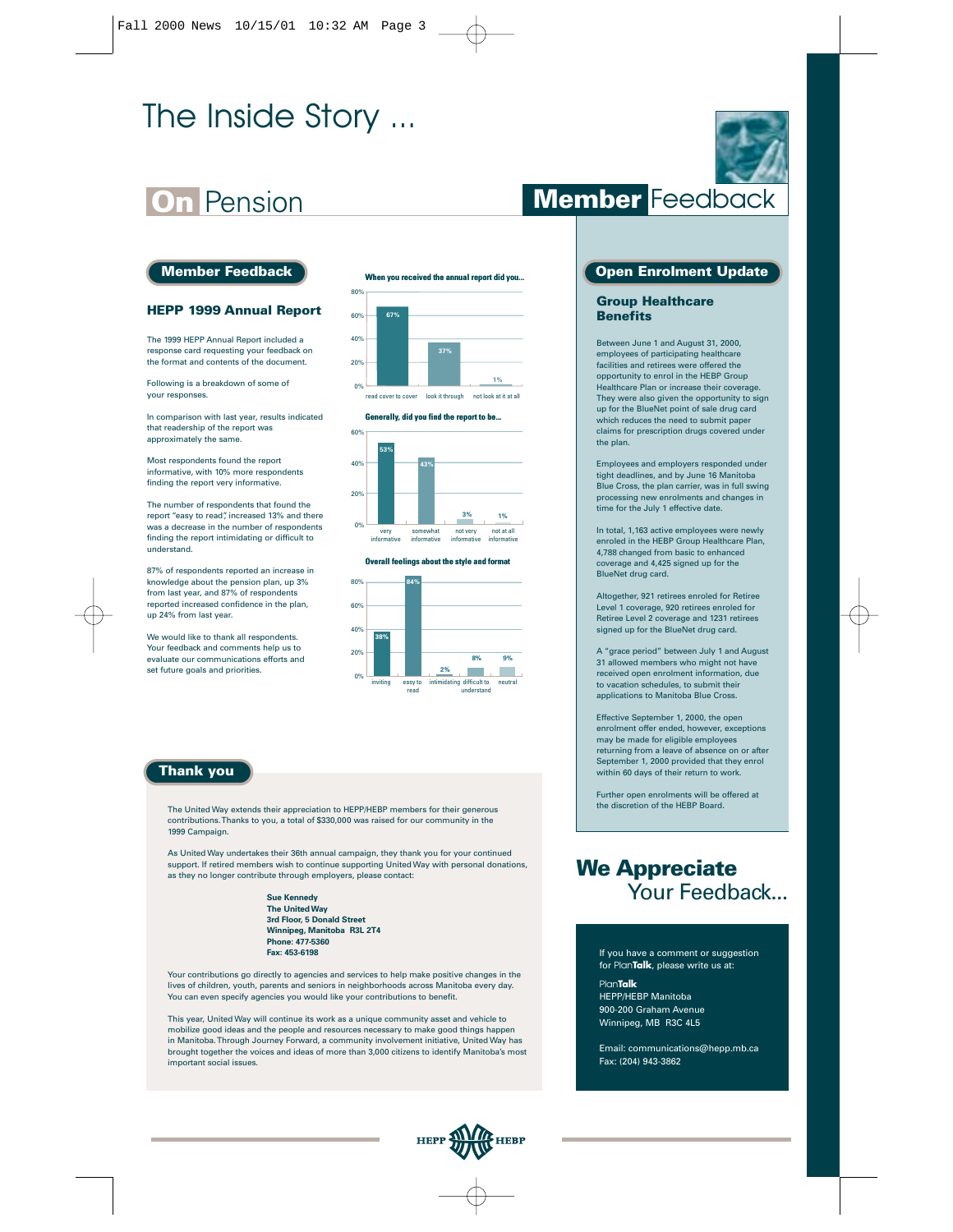## The Inside Story ...

### **On** Pension

#### **Member Feedback**

#### **HEPP 1999 Annual Report**

The 1999 HEPP Annual Report included a response card requesting your feedback on the format and contents of the document.

Following is a breakdown of some of your responses.

In comparison with last year, results indicated that readership of the report was approximately the same.

Most respondents found the report informative, with 10% more respondents finding the report very informative.

The number of respondents that found the report "easy to read", increased 13% and there was a decrease in the number of respondents finding the report intimidating or difficult to understand.

87% of respondents reported an increase in knowledge about the pension plan, up 3% from last year, and 87% of respondents reported increased confidence in the plan, up 24% from last year.

We would like to thank all respondents. Your feedback and comments help us to evaluate our communications efforts and set future goals and priorities.

#### **When you received the annual report did you...**



#### **Generally, did you find the report to be...**



#### **Overall feelings about the style and format**



#### **Thank you**

The United Way extends their appreciation to HEPP/HEBP members for their generous contributions. Thanks to you, a total of \$330,000 was raised for our community in the 1999 Campaign.

As United Way undertakes their 36th annual campaign, they thank you for your continued support. If retired members wish to continue supporting United Way with personal donations, as they no longer contribute through employers, please contact:

> **Sue Kennedy The United Way 3rd Floor, 5 Donald Street Winnipeg, Manitoba R3L 2T4 Phone: 477-5360 Fax: 453-6198**

Your contributions go directly to agencies and services to help make positive changes in the lives of children, youth, parents and seniors in neighborhoods across Manitoba every day. You can even specify agencies you would like your contributions to benefit.

This year, United Way will continue its work as a unique community asset and vehicle to mobilize good ideas and the people and resources necessary to make good things happen in Manitoba. Through Journey Forward, a community involvement initiative, United Way has brought together the voices and ideas of more than 3,000 citizens to identify Manitoba's most important social issues.



### **Member** Feedback

#### **Open Enrolment Update**

#### **Group Healthcare Benefits**

Between June 1 and August 31, 2000, employees of participating healthcare facilities and retirees were offered the opportunity to enrol in the HEBP Group Healthcare Plan or increase their coverage. They were also given the opportunity to sign up for the BlueNet point of sale drug card which reduces the need to submit paper claims for prescription drugs covered under the plan.

Employees and employers responded under tight deadlines, and by June 16 Manitoba Blue Cross, the plan carrier, was in full swing processing new enrolments and changes in time for the July 1 effective date

In total, 1,163 active employees were newly enroled in the HEBP Group Healthcare Plan, 4,788 changed from basic to enhanced coverage and 4,425 signed up for the BlueNet drug card.

Altogether, 921 retirees enroled for Retiree Level 1 coverage, 920 retirees enroled for Retiree Level 2 coverage and 1231 retirees signed up for the BlueNet drug card.

A "grace period" between July 1 and August 31 allowed members who might not have received open enrolment information, due to vacation schedules, to submit their applications to Manitoba Blue Cross.

Effective September 1, 2000, the open enrolment offer ended, however, exceptions may be made for eligible employees returning from a leave of absence on or after September 1, 2000 provided that they enrol within 60 days of their return to work.

Further open enrolments will be offered at the discretion of the HEBP Board.

### **We Appreciate** Your Feedback...

If you have a comment or suggestion for Plan**Talk**, please write us at: Plan**Talk**

HEPP/HEBP Manitoba 900-200 Graham Avenue Winnipeg, MB R3C 4L5

Email: communications@hepp.mb.ca Fax: (204) 943-3862